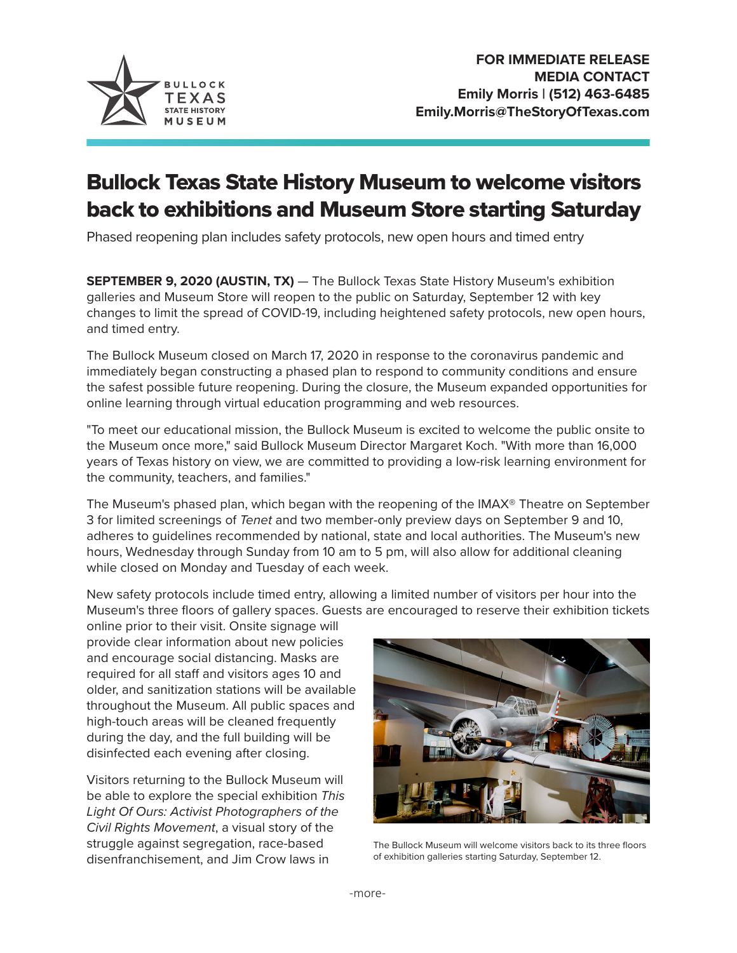

## Bullock Texas State History Museum to welcome visitors back to exhibitions and Museum Store starting Saturday

Phased reopening plan includes safety protocols, new open hours and timed entry

**SEPTEMBER 9, 2020 (AUSTIN, TX)** — The Bullock Texas State History Museum's exhibition galleries and Museum Store will reopen to the public on Saturday, September 12 with key changes to limit the spread of COVID-19, including heightened safety protocols, new open hours, and timed entry.

The Bullock Museum closed on March 17, 2020 in response to the coronavirus pandemic and immediately began constructing a phased plan to respond to community conditions and ensure the safest possible future reopening. During the closure, the Museum expanded opportunities for online learning through virtual education programming and web resources.

"To meet our educational mission, the Bullock Museum is excited to welcome the public onsite to the Museum once more," said Bullock Museum Director Margaret Koch. "With more than 16,000 years of Texas history on view, we are committed to providing a low-risk learning environment for the community, teachers, and families."

The Museum's phased plan, which began with the reopening of the IMAX® Theatre on September 3 for limited screenings of *Tenet* and two member-only preview days on September 9 and 10, adheres to guidelines recommended by national, state and local authorities. The Museum's new hours, Wednesday through Sunday from 10 am to 5 pm, will also allow for additional cleaning while closed on Monday and Tuesday of each week.

New safety protocols include timed entry, allowing a limited number of visitors per hour into the Museum's three floors of gallery spaces. Guests are encouraged to reserve their exhibition tickets

online prior to their visit. Onsite signage will provide clear information about new policies and encourage social distancing. Masks are required for all staff and visitors ages 10 and older, and sanitization stations will be available throughout the Museum. All public spaces and high-touch areas will be cleaned frequently during the day, and the full building will be disinfected each evening after closing.

Visitors returning to the Bullock Museum will be able to explore the special exhibition *This Light Of Ours: Activist Photographers of the Civil Rights Movement*, a visual story of the struggle against segregation, race-based disenfranchisement, and Jim Crow laws in



The Bullock Museum will welcome visitors back to its three floors of exhibition galleries starting Saturday, September 12.